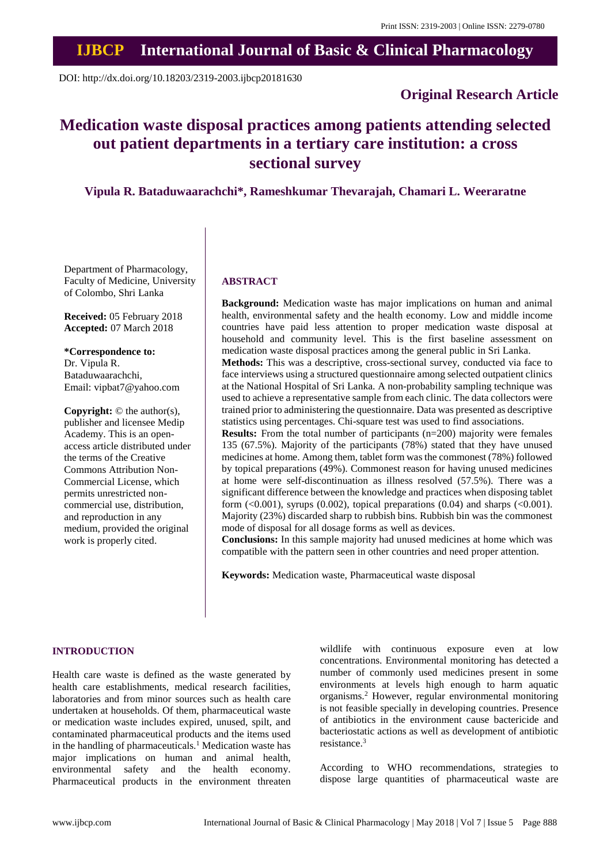# **IJBCP International Journal of Basic & Clinical Pharmacology**

DOI: http://dx.doi.org/10.18203/2319-2003.ijbcp20181630

# **Original Research Article**

# **Medication waste disposal practices among patients attending selected out patient departments in a tertiary care institution: a cross sectional survey**

**Vipula R. Bataduwaarachchi\*, Rameshkumar Thevarajah, Chamari L. Weeraratne**

Department of Pharmacology, Faculty of Medicine, University of Colombo, Shri Lanka

**Received:** 05 February 2018 **Accepted:** 07 March 2018

**\*Correspondence to:** Dr. Vipula R. Bataduwaarachchi, Email: vipbat7@yahoo.com

**Copyright:** © the author(s), publisher and licensee Medip Academy. This is an openaccess article distributed under the terms of the Creative Commons Attribution Non-Commercial License, which permits unrestricted noncommercial use, distribution, and reproduction in any medium, provided the original work is properly cited.

#### **ABSTRACT**

**Background:** Medication waste has major implications on human and animal health, environmental safety and the health economy. Low and middle income countries have paid less attention to proper medication waste disposal at household and community level. This is the first baseline assessment on medication waste disposal practices among the general public in Sri Lanka.

**Methods:** This was a descriptive, cross-sectional survey, conducted via face to face interviews using a structured questionnaire among selected outpatient clinics at the National Hospital of Sri Lanka. A non-probability sampling technique was used to achieve a representative sample from each clinic. The data collectors were trained prior to administering the questionnaire. Data was presented as descriptive statistics using percentages. Chi-square test was used to find associations.

**Results:** From the total number of participants (n=200) majority were females 135 (67.5%). Majority of the participants (78%) stated that they have unused medicines at home. Among them, tablet form wasthe commonest (78%) followed by topical preparations (49%). Commonest reason for having unused medicines at home were self-discontinuation as illness resolved (57.5%). There was a significant difference between the knowledge and practices when disposing tablet form  $(\leq 0.001)$ , syrups  $(0.002)$ , topical preparations  $(0.04)$  and sharps  $(\leq 0.001)$ . Majority (23%) discarded sharp to rubbish bins. Rubbish bin was the commonest mode of disposal for all dosage forms as well as devices.

**Conclusions:** In this sample majority had unused medicines at home which was compatible with the pattern seen in other countries and need proper attention.

**Keywords:** Medication waste, Pharmaceutical waste disposal

## **INTRODUCTION**

Health care waste is defined as the waste generated by health care establishments, medical research facilities, laboratories and from minor sources such as health care undertaken at households. Of them, pharmaceutical waste or medication waste includes expired, unused, spilt, and contaminated pharmaceutical products and the items used in the handling of pharmaceuticals.<sup>1</sup> Medication waste has major implications on human and animal health, environmental safety and the health economy. Pharmaceutical products in the environment threaten wildlife with continuous exposure even at low concentrations. Environmental monitoring has detected a number of commonly used medicines present in some environments at levels high enough to harm aquatic organisms.<sup>2</sup> However, regular environmental monitoring is not feasible specially in developing countries. Presence of antibiotics in the environment cause bactericide and bacteriostatic actions as well as development of antibiotic resistance.<sup>3</sup>

According to WHO recommendations, strategies to dispose large quantities of pharmaceutical waste are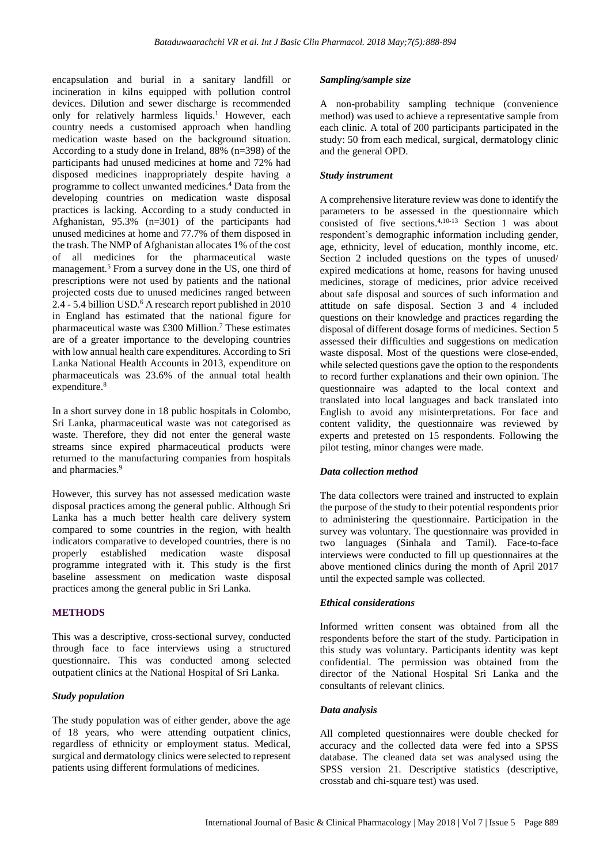encapsulation and burial in a sanitary landfill or incineration in kilns equipped with pollution control devices. Dilution and sewer discharge is recommended only for relatively harmless liquids.<sup>1</sup> However, each country needs a customised approach when handling medication waste based on the background situation. According to a study done in Ireland, 88% (n=398) of the participants had unused medicines at home and 72% had disposed medicines inappropriately despite having a programme to collect unwanted medicines.<sup>4</sup> Data from the developing countries on medication waste disposal practices is lacking. According to a study conducted in Afghanistan, 95.3% (n=301) of the participants had unused medicines at home and 77.7% of them disposed in the trash. The NMP of Afghanistan allocates 1% of the cost of all medicines for the pharmaceutical waste management.<sup>5</sup> From a survey done in the US, one third of prescriptions were not used by patients and the national projected costs due to unused medicines ranged between  $2.4 - 5.4$  billion USD.<sup>6</sup> A research report published in 2010 in England has estimated that the national figure for pharmaceutical waste was £300 Million.<sup>7</sup> These estimates are of a greater importance to the developing countries with low annual health care expenditures. According to Sri Lanka National Health Accounts in 2013, expenditure on pharmaceuticals was 23.6% of the annual total health  $expenditure.<sup>8</sup>$ 

In a short survey done in 18 public hospitals in Colombo, Sri Lanka, pharmaceutical waste was not categorised as waste. Therefore, they did not enter the general waste streams since expired pharmaceutical products were returned to the manufacturing companies from hospitals and pharmacies.<sup>9</sup>

However, this survey has not assessed medication waste disposal practices among the general public. Although Sri Lanka has a much better health care delivery system compared to some countries in the region, with health indicators comparative to developed countries, there is no properly established medication waste disposal programme integrated with it. This study is the first baseline assessment on medication waste disposal practices among the general public in Sri Lanka.

## **METHODS**

This was a descriptive, cross-sectional survey, conducted through face to face interviews using a structured questionnaire. This was conducted among selected outpatient clinics at the National Hospital of Sri Lanka.

### *Study population*

The study population was of either gender, above the age of 18 years, who were attending outpatient clinics, regardless of ethnicity or employment status. Medical, surgical and dermatology clinics were selected to represent patients using different formulations of medicines.

#### *Sampling/sample size*

A non-probability sampling technique (convenience method) was used to achieve a representative sample from each clinic. A total of 200 participants participated in the study: 50 from each medical, surgical, dermatology clinic and the general OPD.

#### *Study instrument*

A comprehensive literature review was done to identify the parameters to be assessed in the questionnaire which consisted of five sections.4,10-13 Section 1 was about respondent's demographic information including gender, age, ethnicity, level of education, monthly income, etc. Section 2 included questions on the types of unused/ expired medications at home, reasons for having unused medicines, storage of medicines, prior advice received about safe disposal and sources of such information and attitude on safe disposal. Section 3 and 4 included questions on their knowledge and practices regarding the disposal of different dosage forms of medicines. Section 5 assessed their difficulties and suggestions on medication waste disposal. Most of the questions were close-ended, while selected questions gave the option to the respondents to record further explanations and their own opinion. The questionnaire was adapted to the local context and translated into local languages and back translated into English to avoid any misinterpretations. For face and content validity, the questionnaire was reviewed by experts and pretested on 15 respondents. Following the pilot testing, minor changes were made.

#### *Data collection method*

The data collectors were trained and instructed to explain the purpose of the study to their potential respondents prior to administering the questionnaire. Participation in the survey was voluntary. The questionnaire was provided in two languages (Sinhala and Tamil). Face-to-face interviews were conducted to fill up questionnaires at the above mentioned clinics during the month of April 2017 until the expected sample was collected.

### *Ethical considerations*

Informed written consent was obtained from all the respondents before the start of the study. Participation in this study was voluntary. Participants identity was kept confidential. The permission was obtained from the director of the National Hospital Sri Lanka and the consultants of relevant clinics.

#### *Data analysis*

All completed questionnaires were double checked for accuracy and the collected data were fed into a SPSS database. The cleaned data set was analysed using the SPSS version 21. Descriptive statistics (descriptive, crosstab and chi-square test) was used.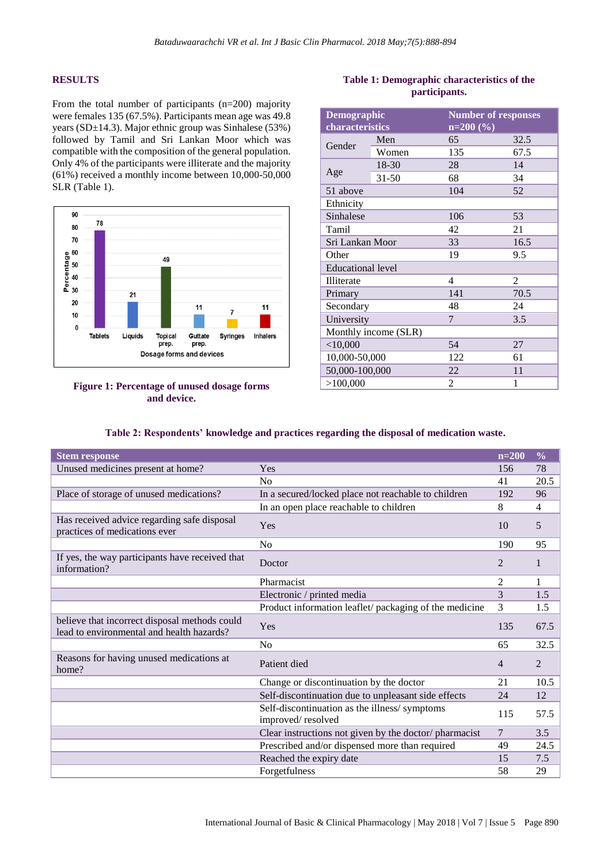## **RESULTS**

From the total number of participants (n=200) majority were females 135 (67.5%). Participants mean age was 49.8 years (SD±14.3). Major ethnic group was Sinhalese (53%) followed by Tamil and Sri Lankan Moor which was compatible with the composition of the general population. Only 4% of the participants were illiterate and the majority (61%) received a monthly income between 10,000-50,000 SLR (Table 1).



## **Figure 1: Percentage of unused dosage forms and device.**

| <b>Demographic</b><br>characteristics |           | <b>Number of responses</b><br>$n=200(%)$ |      |  |  |  |  |  |  |
|---------------------------------------|-----------|------------------------------------------|------|--|--|--|--|--|--|
| Gender                                | Men       | 65                                       | 32.5 |  |  |  |  |  |  |
|                                       | Women     | 135                                      | 67.5 |  |  |  |  |  |  |
|                                       | 18-30     | 28                                       | 14   |  |  |  |  |  |  |
| Age                                   | $31 - 50$ | 68                                       | 34   |  |  |  |  |  |  |
| 51 above                              |           | 104                                      | 52   |  |  |  |  |  |  |
| Ethnicity                             |           |                                          |      |  |  |  |  |  |  |
| Sinhalese                             |           | 106                                      | 53   |  |  |  |  |  |  |
| Tamil                                 |           | 42                                       | 21   |  |  |  |  |  |  |
| Sri Lankan Moor                       |           | 33                                       | 16.5 |  |  |  |  |  |  |
| Other                                 |           | 19                                       | 9.5  |  |  |  |  |  |  |
| Educational level                     |           |                                          |      |  |  |  |  |  |  |
| Illiterate                            |           | 4                                        | 2    |  |  |  |  |  |  |
| Primary                               |           | 141                                      | 70.5 |  |  |  |  |  |  |
| Secondary                             |           | 48                                       | 24   |  |  |  |  |  |  |
| University                            |           | 7                                        | 3.5  |  |  |  |  |  |  |
| Monthly income (SLR)                  |           |                                          |      |  |  |  |  |  |  |
| $<$ 10,000                            |           | 54                                       | 27   |  |  |  |  |  |  |
| 10,000-50,000                         |           | 122                                      | 61   |  |  |  |  |  |  |
| 50,000-100,000                        |           | 22                                       | 11   |  |  |  |  |  |  |
| >100,000                              |           | 2                                        | 1    |  |  |  |  |  |  |

## **Table 1: Demographic characteristics of the participants.**

| Table 2: Respondents' knowledge and practices regarding the disposal of medication waste. |  |  |  |  |  |
|-------------------------------------------------------------------------------------------|--|--|--|--|--|
|-------------------------------------------------------------------------------------------|--|--|--|--|--|

| <b>Stem response</b>                                                                       |                                                                   | $n=200$        | $\frac{0}{0}$  |
|--------------------------------------------------------------------------------------------|-------------------------------------------------------------------|----------------|----------------|
| Unused medicines present at home?                                                          | Yes                                                               | 156            | 78             |
|                                                                                            | N <sub>0</sub>                                                    | 41             | 20.5           |
| Place of storage of unused medications?                                                    | In a secured/locked place not reachable to children               | 192            | 96             |
|                                                                                            | In an open place reachable to children                            | 8              | 4              |
| Has received advice regarding safe disposal<br>practices of medications ever               | Yes                                                               | 10             | 5              |
|                                                                                            | N <sub>0</sub>                                                    | 190            | 95             |
| If yes, the way participants have received that<br>information?                            | Doctor                                                            | 2              |                |
|                                                                                            | Pharmacist                                                        | 2              | 1              |
|                                                                                            | Electronic / printed media                                        | 3              | 1.5            |
|                                                                                            | Product information leaflet/ packaging of the medicine            | 3              | 1.5            |
| believe that incorrect disposal methods could<br>lead to environmental and health hazards? | Yes                                                               | 135            | 67.5           |
|                                                                                            | No                                                                | 65             | 32.5           |
| Reasons for having unused medications at<br>home?                                          | Patient died                                                      | $\overline{4}$ | $\overline{2}$ |
|                                                                                            | Change or discontinuation by the doctor                           | 21             | 10.5           |
|                                                                                            | Self-discontinuation due to unpleasant side effects               | 24             | 12             |
|                                                                                            | Self-discontinuation as the illness/symptoms<br>improved/resolved | 115            | 57.5           |
|                                                                                            | Clear instructions not given by the doctor/pharmacist             | $\overline{7}$ | 3.5            |
|                                                                                            | Prescribed and/or dispensed more than required                    | 49             | 24.5           |
|                                                                                            | Reached the expiry date                                           | 15             | 7.5            |
|                                                                                            | Forgetfulness                                                     | 58             | 29             |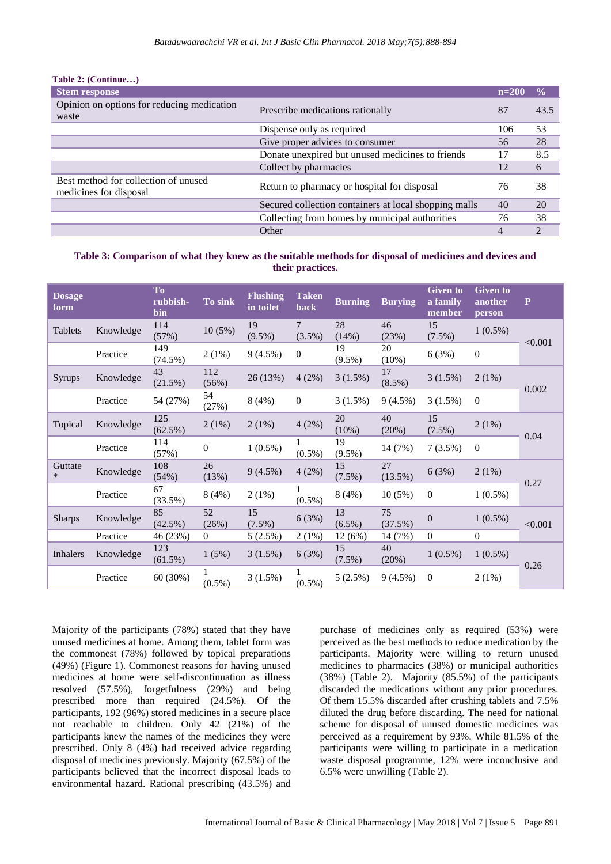| <b>Stem response</b>                                           |                                                       | $n=200$        | $\frac{0}{\alpha}$ |
|----------------------------------------------------------------|-------------------------------------------------------|----------------|--------------------|
| Opinion on options for reducing medication<br>waste            | Prescribe medications rationally                      | 87             | 43.5               |
|                                                                | Dispense only as required                             | 106            | 53                 |
|                                                                | Give proper advices to consumer                       | 56             | 28                 |
|                                                                | Donate unexpired but unused medicines to friends      | 17             | 8.5                |
|                                                                | Collect by pharmacies                                 | 12             | 6                  |
| Best method for collection of unused<br>medicines for disposal | Return to pharmacy or hospital for disposal           | 76             | 38                 |
|                                                                | Secured collection containers at local shopping malls | 40             | 20                 |
|                                                                | Collecting from homes by municipal authorities        | 76             | 38                 |
|                                                                | Other                                                 | $\overline{4}$ | $\overline{2}$     |

## **Table 2: (Continue…)**

## **Table 3: Comparison of what they knew as the suitable methods for disposal of medicines and devices and their practices.**

| <b>Dosage</b><br>form |           | <b>To</b><br>rubbish-<br>bin | To sink      | <b>Flushing</b><br>in toilet | <b>Taken</b><br><b>back</b> | <b>Burning</b>  | <b>Burying</b>  | <b>Given to</b><br>a family<br>member | <b>Given to</b><br>another<br>person | ${\bf P}$ |
|-----------------------|-----------|------------------------------|--------------|------------------------------|-----------------------------|-----------------|-----------------|---------------------------------------|--------------------------------------|-----------|
| Tablets               | Knowledge | 114<br>(57%)                 | 10(5%)       | 19<br>$(9.5\%)$              | 7<br>$(3.5\%)$              | 28<br>(14%)     | 46<br>(23%)     | 15<br>$(7.5\%)$                       | $1(0.5\%)$                           | < 0.001   |
|                       | Practice  | 149<br>$(74.5\%)$            | 2(1%)        | $9(4.5\%)$                   | $\boldsymbol{0}$            | 19<br>$(9.5\%)$ | 20<br>$(10\%)$  | 6(3%)                                 | $\boldsymbol{0}$                     |           |
| Syrups                | Knowledge | 43<br>(21.5%)                | 112<br>(56%) | 26 (13%)                     | 4(2%)                       | 3(1.5%)         | 17<br>$(8.5\%)$ | 3(1.5%)                               | 2(1%)                                |           |
|                       | Practice  | 54 (27%)                     | 54<br>(27%)  | 8(4%)                        | $\overline{0}$              | 3(1.5%)         | $9(4.5\%)$      | 3(1.5%)                               | $\Omega$                             | 0.002     |
| Topical               | Knowledge | 125<br>$(62.5\%)$            | 2(1%)        | 2(1%)                        | 4(2%)                       | 20<br>(10%)     | 40<br>(20%)     | 15<br>$(7.5\%)$                       | 2(1%)                                | 0.04      |
|                       | Practice  | 114<br>(57%)                 | $\mathbf{0}$ | $1(0.5\%)$                   | $\mathbf{1}$<br>$(0.5\%)$   | 19<br>$(9.5\%)$ | 14 (7%)         | 7(3.5%)                               | $\overline{0}$                       |           |
| Guttate<br>$\ast$     | Knowledge | 108<br>(54%)                 | 26<br>(13%)  | $9(4.5\%)$                   | 4(2%)                       | 15<br>$(7.5\%)$ | 27<br>(13.5%)   | 6(3%)                                 | 2(1%)                                |           |
|                       | Practice  | 67<br>(33.5%)                | 8(4%)        | 2(1%)                        | 1<br>$(0.5\%)$              | 8(4%)           | 10(5%)          | $\overline{0}$                        | $1(0.5\%)$                           | 0.27      |
| <b>Sharps</b>         | Knowledge | 85<br>$(42.5\%)$             | 52<br>(26%)  | 15<br>$(7.5\%)$              | 6(3%)                       | 13<br>$(6.5\%)$ | 75<br>(37.5%)   | $\theta$                              | $1(0.5\%)$                           | < 0.001   |
|                       | Practice  | 46 (23%)                     | $\Omega$     | 5(2.5%)                      | 2(1%)                       | 12 (6%)         | 14 (7%)         | $\mathbf{0}$                          | $\overline{0}$                       |           |
| <b>Inhalers</b>       | Knowledge | 123<br>$(61.5\%)$            | 1(5%)        | 3(1.5%)                      | 6(3%)                       | 15<br>$(7.5\%)$ | 40<br>(20%)     | $1(0.5\%)$                            | $1(0.5\%)$                           | 0.26      |
|                       | Practice  | 60 (30%)                     | $(0.5\%)$    | 3(1.5%)                      | 1<br>$(0.5\%)$              | 5(2.5%)         | 9(4.5%)         | $\overline{0}$                        | $2(1\%)$                             |           |

Majority of the participants (78%) stated that they have unused medicines at home. Among them, tablet form was the commonest (78%) followed by topical preparations (49%) (Figure 1). Commonest reasons for having unused medicines at home were self-discontinuation as illness resolved (57.5%), forgetfulness (29%) and being prescribed more than required (24.5%). Of the participants, 192 (96%) stored medicines in a secure place not reachable to children. Only 42 (21%) of the participants knew the names of the medicines they were prescribed. Only 8 (4%) had received advice regarding disposal of medicines previously. Majority (67.5%) of the participants believed that the incorrect disposal leads to environmental hazard. Rational prescribing (43.5%) and purchase of medicines only as required (53%) were perceived as the best methods to reduce medication by the participants. Majority were willing to return unused medicines to pharmacies (38%) or municipal authorities (38%) (Table 2). Majority (85.5%) of the participants discarded the medications without any prior procedures. Of them 15.5% discarded after crushing tablets and 7.5% diluted the drug before discarding. The need for national scheme for disposal of unused domestic medicines was perceived as a requirement by 93%. While 81.5% of the participants were willing to participate in a medication waste disposal programme, 12% were inconclusive and 6.5% were unwilling (Table 2).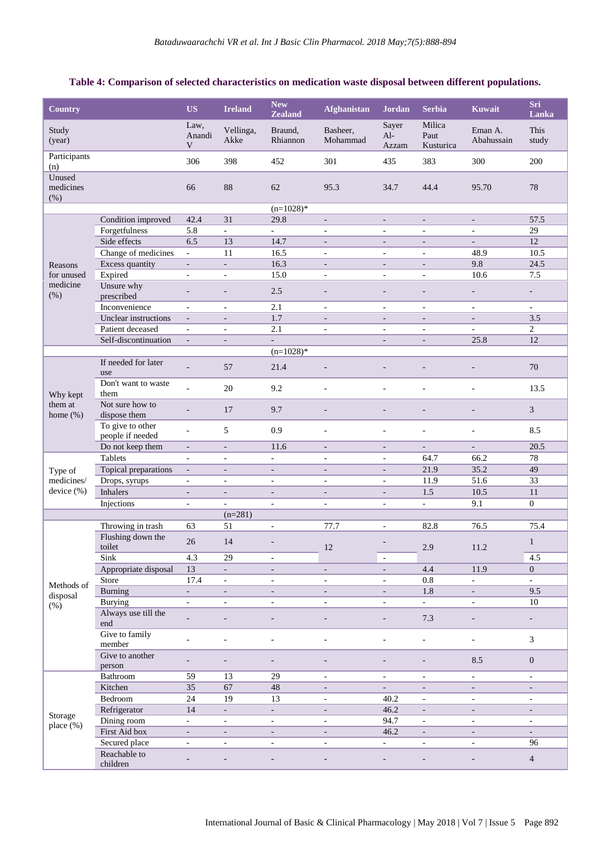## **Table 4: Comparison of selected characteristics on medication waste disposal between different populations.**

| <b>Country</b>              |                                       | <b>US</b>                    | <b>Ireland</b>              | New<br><b>Zealand</b>    | <b>Afghanistan</b>          | <b>Jordan</b>                | <b>Serbia</b>               | <b>Kuwait</b>             | Sri<br>Lanka             |
|-----------------------------|---------------------------------------|------------------------------|-----------------------------|--------------------------|-----------------------------|------------------------------|-----------------------------|---------------------------|--------------------------|
| Study<br>(year)             |                                       | Law,<br>Anandi<br>V          | Vellinga,<br>Akke           | Braund,<br>Rhiannon      | Basheer,<br>Mohammad        | Sayer<br>$Al-$<br>Azzam      | Milica<br>Paut<br>Kusturica | Eman A.<br>Abahussain     | This<br>study            |
| Participants<br>(n)         |                                       | 306                          | 398                         | 452                      | 301                         | 435                          | 383                         | 300                       | 200                      |
| Unused<br>medicines<br>(% ) |                                       | 66                           | 88                          | 62                       | 95.3                        | 34.7                         | 44.4                        | 95.70                     | 78                       |
|                             |                                       |                              |                             | $(n=1028)$ *             |                             |                              |                             |                           |                          |
|                             | Condition improved                    | 42.4                         | 31                          | 29.8                     | $\overline{\phantom{a}}$    | $\overline{\phantom{a}}$     | $\overline{\phantom{a}}$    | $\overline{\phantom{a}}$  | 57.5                     |
|                             | Forgetfulness                         | 5.8                          | $\mathcal{L}^{\mathcal{L}}$ | $\sim$                   | ÷,                          | $\sim$                       | ÷,                          | $\bar{a}$                 | 29                       |
|                             | Side effects                          | 6.5                          | 13                          | 14.7                     | $\overline{\phantom{a}}$    | $\qquad \qquad \blacksquare$ | $\overline{\phantom{a}}$    |                           | 12                       |
|                             | Change of medicines                   | $\overline{a}$               | 11                          | 16.5                     | $\sim$                      | $\bar{\phantom{a}}$          | $\mathbf{r}$                | 48.9                      | 10.5                     |
| Reasons                     | Excess quantity                       | $\overline{\phantom{a}}$     | $\mathcal{L}^{\pm}$         | 16.3                     | $\overline{\phantom{a}}$    | $\overline{\phantom{a}}$     | $\overline{\phantom{a}}$    | 9.8                       | 24.5                     |
| for unused                  | Expired                               | $\overline{\phantom{a}}$     | $\sim$                      | 15.0                     | $\sim$                      | ÷,                           | ä,                          | 10.6                      | $7.5\,$                  |
| medicine<br>(% )            | Unsure why<br>prescribed              | $\overline{a}$               |                             | 2.5                      | $\overline{\phantom{a}}$    | $\qquad \qquad \blacksquare$ | $\overline{a}$              | $\overline{a}$            | $\overline{a}$           |
|                             | Inconvenience                         | $\overline{\phantom{a}}$     | $\overline{\phantom{a}}$    | 2.1                      | $\mathcal{L}_{\mathcal{A}}$ | $\blacksquare$               | $\blacksquare$              | $\blacksquare$            | $\sim$                   |
|                             | Unclear instructions                  | $\qquad \qquad \blacksquare$ | $\overline{\phantom{a}}$    | 1.7                      | $\overline{\phantom{a}}$    | $\overline{\phantom{a}}$     | $\overline{\phantom{m}}$    | $\overline{\phantom{a}}$  | 3.5                      |
|                             | Patient deceased                      | $\bar{a}$                    | $\overline{\phantom{a}}$    | 2.1                      | ÷,                          | $\sim$                       | $\sim$                      | ÷,                        | $\overline{c}$           |
|                             | Self-discontinuation                  | $\blacksquare$               | ÷,                          | $\overline{\phantom{a}}$ |                             | $\qquad \qquad \blacksquare$ | $\overline{\phantom{a}}$    | 25.8                      | 12                       |
|                             |                                       |                              |                             | $(n=1028)*$              |                             |                              |                             |                           |                          |
|                             | If needed for later<br>use            |                              | 57                          | 21.4                     | $\overline{a}$              |                              | ÷                           | $\overline{\phantom{m}}$  | 70                       |
| Why kept                    | Don't want to waste<br>them           | L.                           | 20                          | 9.2                      | ä,                          |                              | Ē,                          | ÷,                        | 13.5                     |
| them at<br>home $(\%)$      | Not sure how to<br>dispose them       | $\overline{a}$               | 17                          | 9.7                      | $\overline{\phantom{a}}$    | $\overline{\phantom{a}}$     | ٠                           | $\overline{\phantom{a}}$  | 3                        |
|                             | To give to other<br>people if needed  | $\overline{\phantom{a}}$     | 5                           | 0.9                      | $\overline{\phantom{a}}$    | $\overline{\phantom{a}}$     | $\overline{\phantom{a}}$    | $\overline{\phantom{a}}$  | 8.5                      |
|                             | Do not keep them                      | $\overline{\phantom{a}}$     | $\overline{\phantom{a}}$    | 11.6                     | $\overline{\phantom{a}}$    | $\overline{a}$               | $\overline{a}$              | ÷,                        | 20.5                     |
|                             | Tablets                               | $\overline{\phantom{a}}$     | $\bar{a}$                   | $\overline{\phantom{a}}$ | $\sim$                      | $\overline{\phantom{a}}$     | 64.7                        | 66.2                      | 78                       |
| Type of                     | Topical preparations                  | $\blacksquare$               | $\overline{\phantom{a}}$    | $\overline{\phantom{a}}$ | $\overline{\phantom{a}}$    | $\qquad \qquad \blacksquare$ | 21.9                        | 35.2                      | 49                       |
| medicines/                  | Drops, syrups                         | $\overline{\phantom{a}}$     | $\equiv$                    | $\sim$                   | $\sim$                      | ÷,                           | 11.9                        | 51.6                      | 33                       |
| $device (\%)$               | <b>Inhalers</b>                       | $\overline{\phantom{a}}$     | $\mathbb{L}^{\mathbb{N}}$   | $\overline{\phantom{a}}$ | $\overline{\phantom{a}}$    | $\overline{\phantom{a}}$     | 1.5                         | 10.5                      | 11                       |
|                             | Injections                            | $\overline{\phantom{a}}$     | $\sim$                      | $\overline{\phantom{a}}$ | $\overline{\phantom{a}}$    | $\overline{\phantom{a}}$     | $\overline{\phantom{a}}$    | 9.1                       | $\overline{0}$           |
|                             |                                       |                              | $(n=281)$                   |                          |                             |                              |                             |                           |                          |
|                             | Throwing in trash                     | 63                           | 51                          | $\overline{\phantom{a}}$ | 77.7                        | $\overline{\phantom{a}}$     | 82.8                        | 76.5                      | 75.4                     |
|                             | Flushing down the                     | 26                           | 14                          | $\overline{a}$           |                             |                              |                             |                           | 1                        |
|                             | toilet                                |                              |                             |                          | 12                          |                              | 2.9                         | 11.2                      |                          |
|                             | Sink                                  | 4.3                          | 29                          | $\overline{\phantom{a}}$ |                             | $\overline{\phantom{a}}$     |                             |                           | 4.5                      |
|                             | Appropriate disposal                  | 13                           | $\overline{\phantom{a}}$    | $\overline{\phantom{a}}$ | $\overline{\phantom{a}}$    | $\overline{\phantom{a}}$     | 4.4                         | 11.9                      | $\mathbf{0}$             |
| Methods of                  | Store                                 | 17.4                         | ÷                           | $\overline{\phantom{a}}$ | $\overline{\phantom{a}}$    | $\overline{\phantom{a}}$     | 0.8                         | L,                        |                          |
| disposal                    | <b>Burning</b>                        | $\mathcal{L}^{\pm}$          | $\mathbb{L}^{\mathbb{N}}$   | $\overline{\phantom{a}}$ | $\overline{\phantom{a}}$    | $\overline{\phantom{a}}$     | 1.8                         | $\mathbb{Z}^{\mathbb{Z}}$ | 9.5                      |
| (% )                        | <b>Burying</b><br>Always use till the | $\overline{\phantom{a}}$     | $\overline{\phantom{a}}$    | $\overline{\phantom{a}}$ | $\overline{\phantom{a}}$    | $\blacksquare$               | $\omega$<br>7.3             | $\overline{\phantom{a}}$  | 10                       |
|                             | end<br>Give to family                 | $\overline{a}$               | $\overline{a}$              | $\overline{a}$           | $\overline{\phantom{0}}$    | $\overline{\phantom{a}}$     |                             | $\overline{\phantom{0}}$  | $\overline{\phantom{0}}$ |
|                             | member                                | $\blacksquare$               | ä,                          | $\overline{\phantom{a}}$ | $\overline{\phantom{a}}$    | $\overline{\phantom{a}}$     | $\overline{\phantom{a}}$    | $\overline{\phantom{a}}$  | 3                        |
|                             | Give to another<br>person             |                              |                             | $\overline{a}$           | -                           | $\overline{\phantom{a}}$     | $\overline{\phantom{m}}$    | 8.5                       | $\boldsymbol{0}$         |
|                             | Bathroom                              | 59                           | 13                          | 29                       | $\blacksquare$              | $\overline{\phantom{a}}$     | $\blacksquare$              | $\overline{\phantom{a}}$  | $\overline{\phantom{a}}$ |
|                             | Kitchen                               | 35                           | 67                          | 48                       | $\overline{\phantom{a}}$    | $\overline{\phantom{a}}$     | $\overline{\phantom{a}}$    | $\overline{\phantom{a}}$  | $\overline{\phantom{0}}$ |
|                             | Bedroom                               | 24                           | 19                          | 13                       | $\overline{\phantom{a}}$    | 40.2                         | $\blacksquare$              | $\overline{\phantom{a}}$  | $\overline{\phantom{a}}$ |
| Storage                     | Refrigerator                          | 14                           | $\overline{\phantom{a}}$    | $\blacksquare$           | $\overline{\phantom{a}}$    | 46.2                         | $\overline{\phantom{a}}$    | $\overline{\phantom{a}}$  | $\overline{\phantom{a}}$ |
| place (%)                   | Dining room                           | L.                           | ÷.                          | $\omega$                 | $\mathbf{r}$                | 94.7                         | $\blacksquare$              | $\mathbf{r}$              | $\Box$                   |
|                             | First Aid box                         | $\overline{\phantom{a}}$     | $\mathcal{L}_{\mathcal{A}}$ | $\overline{\phantom{a}}$ | $\overline{\phantom{a}}$    | 46.2                         | $\overline{\phantom{a}}$    | $\overline{\phantom{a}}$  | $\blacksquare$           |
|                             | Secured place                         | ÷,                           | $\overline{\phantom{a}}$    | $\overline{\phantom{a}}$ | $\overline{\phantom{a}}$    | ÷,                           | $\blacksquare$              | $\blacksquare$            | 96                       |
|                             | Reachable to<br>children              |                              |                             |                          | -                           | $\qquad \qquad -$            | $\overline{a}$              | $\overline{a}$            | $\overline{4}$           |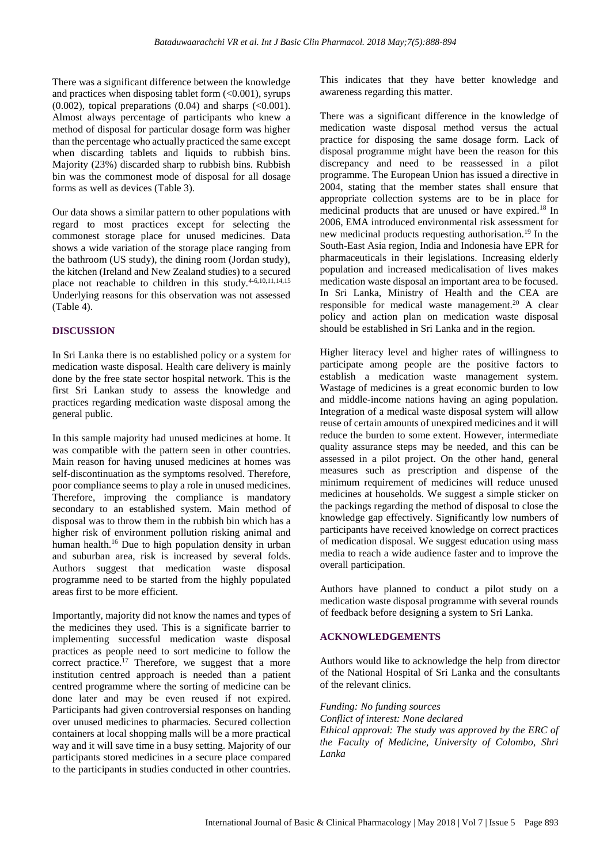There was a significant difference between the knowledge and practices when disposing tablet form  $(<0.001)$ , syrups  $(0.002)$ , topical preparations  $(0.04)$  and sharps  $( $0.001$ ).$ Almost always percentage of participants who knew a method of disposal for particular dosage form was higher than the percentage who actually practiced the same except when discarding tablets and liquids to rubbish bins. Majority (23%) discarded sharp to rubbish bins. Rubbish bin was the commonest mode of disposal for all dosage forms as well as devices (Table 3).

Our data shows a similar pattern to other populations with regard to most practices except for selecting the commonest storage place for unused medicines. Data shows a wide variation of the storage place ranging from the bathroom (US study), the dining room (Jordan study), the kitchen (Ireland and New Zealand studies) to a secured place not reachable to children in this study.<sup>4-6,10,11,14,15</sup> Underlying reasons for this observation was not assessed (Table 4).

### **DISCUSSION**

In Sri Lanka there is no established policy or a system for medication waste disposal. Health care delivery is mainly done by the free state sector hospital network. This is the first Sri Lankan study to assess the knowledge and practices regarding medication waste disposal among the general public.

In this sample majority had unused medicines at home. It was compatible with the pattern seen in other countries. Main reason for having unused medicines at homes was self-discontinuation as the symptoms resolved. Therefore, poor compliance seems to play a role in unused medicines. Therefore, improving the compliance is mandatory secondary to an established system. Main method of disposal was to throw them in the rubbish bin which has a higher risk of environment pollution risking animal and human health.<sup>16</sup> Due to high population density in urban and suburban area, risk is increased by several folds. Authors suggest that medication waste disposal programme need to be started from the highly populated areas first to be more efficient.

Importantly, majority did not know the names and types of the medicines they used. This is a significate barrier to implementing successful medication waste disposal practices as people need to sort medicine to follow the correct practice.<sup>17</sup> Therefore, we suggest that a more institution centred approach is needed than a patient centred programme where the sorting of medicine can be done later and may be even reused if not expired. Participants had given controversial responses on handing over unused medicines to pharmacies. Secured collection containers at local shopping malls will be a more practical way and it will save time in a busy setting. Majority of our participants stored medicines in a secure place compared to the participants in studies conducted in other countries. This indicates that they have better knowledge and awareness regarding this matter.

There was a significant difference in the knowledge of medication waste disposal method versus the actual practice for disposing the same dosage form. Lack of disposal programme might have been the reason for this discrepancy and need to be reassessed in a pilot programme. The European Union has issued a directive in 2004, stating that the member states shall ensure that appropriate collection systems are to be in place for medicinal products that are unused or have expired.<sup>18</sup> In 2006, EMA introduced environmental risk assessment for new medicinal products requesting authorisation.<sup>19</sup> In the South-East Asia region, India and Indonesia have EPR for pharmaceuticals in their legislations. Increasing elderly population and increased medicalisation of lives makes medication waste disposal an important area to be focused. In Sri Lanka, Ministry of Health and the CEA are responsible for medical waste management.<sup>20</sup> A clear policy and action plan on medication waste disposal should be established in Sri Lanka and in the region.

Higher literacy level and higher rates of willingness to participate among people are the positive factors to establish a medication waste management system. Wastage of medicines is a great economic burden to low and middle-income nations having an aging population. Integration of a medical waste disposal system will allow reuse of certain amounts of unexpired medicines and it will reduce the burden to some extent. However, intermediate quality assurance steps may be needed, and this can be assessed in a pilot project. On the other hand, general measures such as prescription and dispense of the minimum requirement of medicines will reduce unused medicines at households. We suggest a simple sticker on the packings regarding the method of disposal to close the knowledge gap effectively. Significantly low numbers of participants have received knowledge on correct practices of medication disposal. We suggest education using mass media to reach a wide audience faster and to improve the overall participation.

Authors have planned to conduct a pilot study on a medication waste disposal programme with several rounds of feedback before designing a system to Sri Lanka.

## **ACKNOWLEDGEMENTS**

Authors would like to acknowledge the help from director of the National Hospital of Sri Lanka and the consultants of the relevant clinics.

#### *Funding: No funding sources*

*Conflict of interest: None declared Ethical approval: The study was approved by the ERC of the Faculty of Medicine, University of Colombo, Shri Lanka*